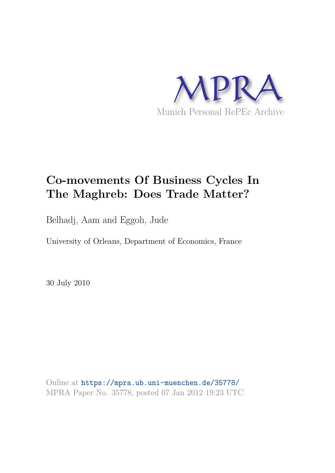

# **Co-movements Of Business Cycles In The Maghreb: Does Trade Matter?**

Belhadj, Aam and Eggoh, Jude

University of Orleans, Department of Economics, France

30 July 2010

Online at https://mpra.ub.uni-muenchen.de/35778/ MPRA Paper No. 35778, posted 07 Jan 2012 19:23 UTC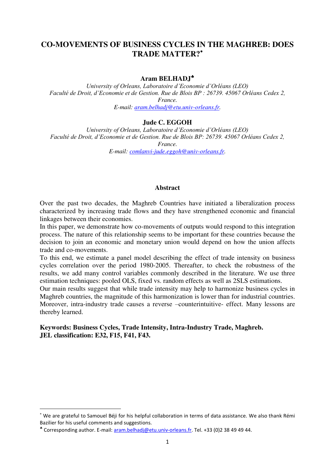# **CO-MOVEMENTS OF BUSINESS CYCLES IN THE MAGHREB: DOES TRADE MATTER?**

# **Aram BELHADJ**

*University of Orleans, Laboratoire d'Economie d'Orléans (LEO) Faculté de Droit, d'Economie et de Gestion. Rue de Blois BP : 26739. 45067 Orléans Cedex 2, France. E-mail: [aram.belhadj@etu.univ-orleans.fr.](mailto:aram.belhadj@etu.univ-orleans.fr)* 

#### **Jude C. EGGOH**

*University of Orleans, Laboratoire d'Economie d'Orléans (LEO) Faculté de Droit, d'Economie et de Gestion. Rue de Blois BP: 26739. 45067 Orléans Cedex 2, France.* 

*E-mail: [comlanvi-jude.eggoh@univ-orleans.fr.](mailto:comlanvi-jude.eggoh@univ-orleans.fr)* 

#### **Abstract**

Over the past two decades, the Maghreb Countries have initiated a liberalization process characterized by increasing trade flows and they have strengthened economic and financial linkages between their economies.

In this paper, we demonstrate how co-movements of outputs would respond to this integration process. The nature of this relationship seems to be important for these countries because the decision to join an economic and monetary union would depend on how the union affects trade and co-movements.

To this end, we estimate a panel model describing the effect of trade intensity on business cycles correlation over the period 1980-2005. Thereafter, to check the robustness of the results, we add many control variables commonly described in the literature. We use three estimation techniques: pooled OLS, fixed vs. random effects as well as 2SLS estimations.

Our main results suggest that while trade intensity may help to harmonize business cycles in Maghreb countries, the magnitude of this harmonization is lower than for industrial countries. Moreover, intra-industry trade causes a reverse –counterintuitive- effect. Many lessons are thereby learned.

#### **Keywords: Business Cycles, Trade Intensity, Intra-Industry Trade, Maghreb. JEL classification: E32, F15, F41, F43.**

We are grateful to Samouel Béji for his helpful collaboration in terms of data assistance. We also thank Rémi Bazilier for his useful comments and suggestions.

<sup>\*</sup> Corresponding author. E-mail[: aram.belhadj@etu.univ-orleans.fr.](mailto:aram.belhadj@etu.univ-orleans.fr) Tel. +33 (0)2 38 49 49 44.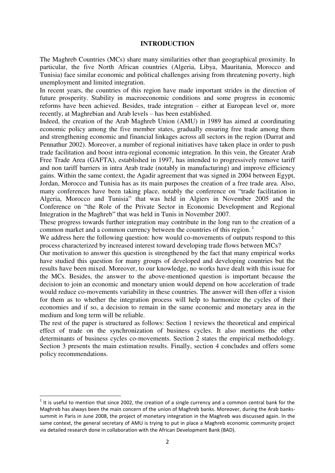#### **INTRODUCTION**

The Maghreb Countries (MCs) share many similarities other than geographical proximity. In particular, the five North African countries (Algeria, Libya, Mauritania, Morocco and Tunisia) face similar economic and political challenges arising from threatening poverty, high unemployment and limited integration.

In recent years, the countries of this region have made important strides in the direction of future prosperity. Stability in macroeconomic conditions and some progress in economic reforms have been achieved. Besides, trade integration – either at European level or, more recently, at Maghrebian and Arab levels – has been established.

Indeed, the creation of the Arab Maghreb Union (AMU) in 1989 has aimed at coordinating economic policy among the five member states, gradually ensuring free trade among them and strengthening economic and financial linkages across all sectors in the region (Darrat and Pennathur 2002). Moreover, a number of regional initiatives have taken place in order to push trade facilitation and boost intra-regional economic integration. In this vein, the Greater Arab Free Trade Area (GAFTA), established in 1997, has intended to progressively remove tariff and non tariff barriers in intra Arab trade (notably in manufacturing) and improve efficiency gains. Within the same context, the Agadir agreement that was signed in 2004 between Egypt, Jordan, Morocco and Tunisia has as its main purposes the creation of a free trade area. Also, many conferences have been taking place, notably the conference on "trade facilitation in Algeria, Morocco and Tunisia" that was held in Algiers in November 2005 and the Conference on "the Role of the Private Sector in Economic Development and Regional Integration in the Maghreb" that was held in Tunis in November 2007.

These progress towards further integration may contribute in the long run to the creation of a common market and a common currency between the countries of this region.<sup>1</sup>

We address here the following question: how would co-movements of outputs respond to this process characterized by increased interest toward developing trade flows between MCs?

Our motivation to answer this question is strengthened by the fact that many empirical works have studied this question for many groups of developed and developing countries but the results have been mixed. Moreover, to our knowledge, no works have dealt with this issue for the MCs. Besides, the answer to the above-mentioned question is important because the decision to join an economic and monetary union would depend on how acceleration of trade would reduce co-movements variability in these countries. The answer will then offer a vision for them as to whether the integration process will help to harmonize the cycles of their economies and if so, a decision to remain in the same economic and monetary area in the medium and long term will be reliable.

The rest of the paper is structured as follows: Section 1 reviews the theoretical and empirical effect of trade on the synchronization of business cycles. It also mentions the other determinants of business cycles co-movements. Section 2 states the empirical methodology. Section 3 presents the main estimation results. Finally, section 4 concludes and offers some policy recommendations.

 $1$  It is useful to mention that since 2002, the creation of a single currency and a common central bank for the Maghreb has always been the main concern of the union of Maghreb banks. Moreover, during the Arab bankssummit in Paris in June 2008, the project of monetary integration in the Maghreb was discussed again. In the same context, the general secretary of AMU is trying to put in place a Maghreb economic community project via detailed research done in collaboration with the African Development Bank (BAD).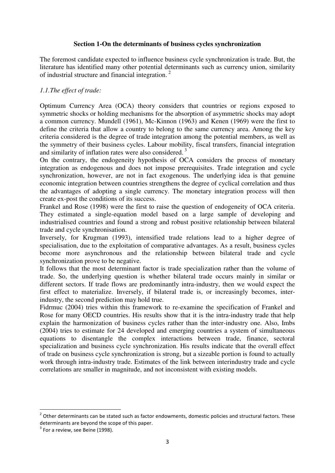## **Section 1-On the determinants of business cycles synchronization**

The foremost candidate expected to influence business cycle synchronization is trade. But, the literature has identified many other potential determinants such as currency union, similarity of industrial structure and financial integration.<sup>2</sup>

# *1.1.The effect of trade:*

Optimum Currency Area (OCA) theory considers that countries or regions exposed to symmetric shocks or holding mechanisms for the absorption of asymmetric shocks may adopt a common currency. Mundell (1961), Mc-Kinnon (1963) and Kenen (1969) were the first to define the criteria that allow a country to belong to the same currency area. Among the key criteria considered is the degree of trade integration among the potential members, as well as the symmetry of their business cycles. Labour mobility, fiscal transfers, financial integration and similarity of inflation rates were also considered.<sup>3</sup>

On the contrary, the endogeneity hypothesis of OCA considers the process of monetary integration as endogenous and does not impose prerequisites. Trade integration and cycle synchronization, however, are not in fact exogenous. The underlying idea is that genuine economic integration between countries strengthens the degree of cyclical correlation and thus the advantages of adopting a single currency. The monetary integration process will then create ex-post the conditions of its success.

Frankel and Rose (1998) were the first to raise the question of endogeneity of OCA criteria. They estimated a single-equation model based on a large sample of developing and industrialised countries and found a strong and robust positive relationship between bilateral trade and cycle synchronisation.

Inversely, for Krugman (1993), intensified trade relations lead to a higher degree of specialisation, due to the exploitation of comparative advantages. As a result, business cycles become more asynchronous and the relationship between bilateral trade and cycle synchronization prove to be negative.

It follows that the most determinant factor is trade specialization rather than the volume of trade. So, the underlying question is whether bilateral trade occurs mainly in similar or different sectors. If trade flows are predominantly intra-industry, then we would expect the first effect to materialize. Inversely, if bilateral trade is, or increasingly becomes, interindustry, the second prediction may hold true.

Fidrmuc (2004) tries within this framework to re-examine the specification of Frankel and Rose for many OECD countries. His results show that it is the intra-industry trade that help explain the harmonization of business cycles rather than the inter-industry one. Also, Imbs (2004) tries to estimate for 24 developed and emerging countries a system of simultaneous equations to disentangle the complex interactions between trade, finance, sectoral specialization and business cycle synchronization. His results indicate that the overall effect of trade on business cycle synchronization is strong, but a sizeable portion is found to actually work through intra-industry trade. Estimates of the link between interindustry trade and cycle correlations are smaller in magnitude, and not inconsistent with existing models.

 $2$  Other determinants can be stated such as factor endowments, domestic policies and structural factors. These determinants are beyond the scope of this paper.

 $3$  For a review, see Beine (1998).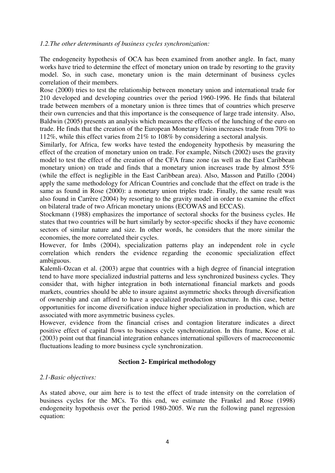### *1.2.The other determinants of business cycles synchronization:*

The endogeneity hypothesis of OCA has been examined from another angle. In fact, many works have tried to determine the effect of monetary union on trade by resorting to the gravity model. So, in such case, monetary union is the main determinant of business cycles correlation of their members.

Rose (2000) tries to test the relationship between monetary union and international trade for 210 developed and developing countries over the period 1960-1996. He finds that bilateral trade between members of a monetary union is three times that of countries which preserve their own currencies and that this importance is the consequence of large trade intensity. Also, Baldwin (2005) presents an analysis which measures the effects of the lunching of the euro on trade. He finds that the creation of the European Monetary Union increases trade from 70% to 112%, while this effect varies from 21% to 108% by considering a sectoral analysis.

Similarly, for Africa, few works have tested the endogeneity hypothesis by measuring the effect of the creation of monetary union on trade. For example, Nitsch (2002) uses the gravity model to test the effect of the creation of the CFA franc zone (as well as the East Caribbean monetary union) on trade and finds that a monetary union increases trade by almost 55% (while the effect is negligible in the East Caribbean area). Also, Masson and Patillo (2004) apply the same methodology for African Countries and conclude that the effect on trade is the same as found in Rose (2000): a monetary union triples trade. Finally, the same result was also found in Carrère (2004) by resorting to the gravity model in order to examine the effect on bilateral trade of two African monetary unions (ECOWAS and ECCAS).

Stockmann (1988) emphasizes the importance of sectoral shocks for the business cycles. He states that two countries will be hurt similarly by sector-specific shocks if they have economic sectors of similar nature and size. In other words, he considers that the more similar the economies, the more correlated their cycles.

However, for Imbs (2004), specialization patterns play an independent role in cycle correlation which renders the evidence regarding the economic specialization effect ambiguous.

Kalemli-Ozcan et al. (2003) argue that countries with a high degree of financial integration tend to have more specialized industrial patterns and less synchronized business cycles. They consider that, with higher integration in both international financial markets and goods markets, countries should be able to insure against asymmetric shocks through diversification of ownership and can afford to have a specialized production structure. In this case, better opportunities for income diversification induce higher specialization in production, which are associated with more asymmetric business cycles.

However, evidence from the financial crises and contagion literature indicates a direct positive effect of capital flows to business cycle synchronization. In this frame, Kose et al. (2003) point out that financial integration enhances international spillovers of macroeconomic fluctuations leading to more business cycle synchronization.

## **Section 2- Empirical methodology**

## *2.1-Basic objectives:*

As stated above, our aim here is to test the effect of trade intensity on the correlation of business cycles for the MCs. To this end, we estimate the Frankel and Rose (1998) endogeneity hypothesis over the period 1980-2005. We run the following panel regression equation: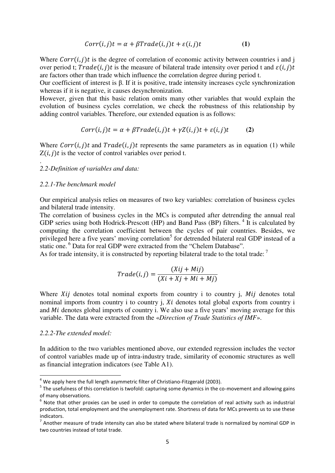$$
Corr(i,j)t = \alpha + \beta Trade(i,j)t + \varepsilon(i,j)t
$$
 (1)

Where  $Corr(i, j)t$  is the degree of correlation of economic activity between countries i and j over period t;  $Trade(i, i)t$  is the measure of bilateral trade intensity over period t and  $\varepsilon(i, i)t$ are factors other than trade which influence the correlation degree during period t.

Our coefficient of interest is β. If it is positive, trade intensity increases cycle synchronization whereas if it is negative, it causes desynchronization.

However, given that this basic relation omits many other variables that would explain the evolution of business cycles correlation, we check the robustness of this relationship by adding control variables. Therefore, our extended equation is as follows:

$$
Corr(i,j)t = \alpha + \beta Trade(i,j)t + \gamma Z(i,j)t + \varepsilon(i,j)t \tag{2}
$$

Where  $Corr(i, j)t$  and  $Trade(i, j)t$  represents the same parameters as in equation (1) while  $Z(i, j)t$  is the vector of control variables over period t.

#### *2.2-Definition of variables and data:*

#### *2.2.1-The benchmark model*

.

Our empirical analysis relies on measures of two key variables: correlation of business cycles and bilateral trade intensity.

The correlation of business cycles in the MCs is computed after detrending the annual real GDP series using both Hodrick-Prescott (HP) and Band Pass (BP) filters.<sup>4</sup> It is calculated by computing the correlation coefficient between the cycles of pair countries. Besides, we privileged here a five years' moving correlation<sup>5</sup> for detrended bilateral real GDP instead of a static one.<sup>6</sup> Data for real GDP were extracted from the "Chelem Database".

As for trade intensity, it is constructed by reporting bilateral trade to the total trade:  $\frac{7}{1}$ 

$$
Trade(i,j) = \frac{(Xij + Mij)}{(Xi + Xj + Mi + Mj)}
$$

Where  $Xij$  denotes total nominal exports from country i to country j,  $Mij$  denotes total nominal imports from country i to country  $\mathbf{j}$ ,  $\mathbf{X}$  denotes total global exports from country  $\mathbf{i}$ and  $Mi$  denotes global imports of country i. We also use a five years' moving average for this variable. The data were extracted from the «*Direction of Trade Statistics of IMF*».

#### *2.2.2-The extended model:*

<u>.</u>

In addition to the two variables mentioned above, our extended regression includes the vector of control variables made up of intra-industry trade, similarity of economic structures as well as financial integration indicators (see Table A1).

 $<sup>4</sup>$  We apply here the full length asymmetric filter of Christiano-Fitzgerald (2003).</sup>

<sup>&</sup>lt;sup>5</sup> The usefulness of this correlation is twofold: capturing some dynamics in the co-movement and allowing gains of many observations.

 $<sup>6</sup>$  Note that other proxies can be used in order to compute the correlation of real activity such as industrial</sup> production, total employment and the unemployment rate. Shortness of data for MCs prevents us to use these indicators.

 $^7$  Another measure of trade intensity can also be stated where bilateral trade is normalized by nominal GDP in two countries instead of total trade.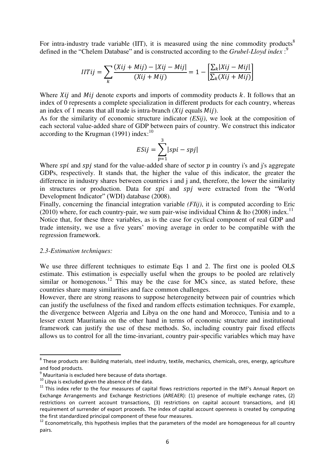For intra-industry trade variable  $(III)$ , it is measured using the nine commodity products<sup>8</sup> defined in the "Chelem Database" and is constructed according to the *Grubel-Lloyd index* : 9

$$
IITij = \sum_{k} \frac{(Xij + Mij) - |Xij - Mij|}{(Xij + Mij)} = 1 - \left[ \frac{\sum_{k} |Xij - Mij|}{\sum_{k} (Xij + Mij)} \right]
$$

Where  $Xij$  and  $Mij$  denote exports and imports of commodity products  $k$ . It follows that an index of 0 represents a complete specialization in different products for each country, whereas an index of 1 means that all trade is intra-branch  $(Xii)$  equals  $Mi$ .

As for the similarity of economic structure indicator *(ESij)*, we look at the composition of each sectoral value-added share of GDP between pairs of country. We construct this indicator according to the Krugman (1991) index:<sup>10</sup>

$$
ESij = \sum_{p=1}^{3} |spi - spi|
$$

Where spi and spj stand for the value-added share of sector  $p$  in country i's and j's aggregate GDPs, respectively. It stands that, the higher the value of this indicator, the greater the difference in industry shares between countries i and j and, therefore, the lower the similarity in structures or production. Data for spi and spi were extracted from the "World" Development Indicator" (WDI) database (2008).

Finally, concerning the financial integration variable *(FIij)*, it is computed according to Eric (2010) where, for each country-pair, we sum pair-wise individual Chinn & Ito (2008) index.<sup>11</sup>

Notice that, for these three variables, as is the case for cyclical component of real GDP and trade intensity, we use a five years' moving average in order to be compatible with the regression framework.

#### *2.3-Estimation techniques:*

<u>.</u>

We use three different techniques to estimate Eqs 1 and 2. The first one is pooled OLS estimate. This estimation is especially useful when the groups to be pooled are relatively  $s$  similar or homogenous.<sup>12</sup> This may be the case for MCs since, as stated before, these countries share many similarities and face common challenges.

However, there are strong reasons to suppose heterogeneity between pair of countries which can justify the usefulness of the fixed and random effects estimation techniques. For example, the divergence between Algeria and Libya on the one hand and Morocco, Tunisia and to a lesser extent Mauritania on the other hand in terms of economic structure and institutional framework can justify the use of these methods. So, including country pair fixed effects allows us to control for all the time-invariant, country pair-specific variables which may have

<sup>&</sup>lt;sup>8</sup> These products are: Building materials, steel industry, textile, mechanics, chemicals, ores, energy, agriculture and food products.

 $9$  Mauritania is excluded here because of data shortage.

 $10$  Libva is excluded given the absence of the data.

<sup>&</sup>lt;sup>11</sup> This index refer to the four measures of capital flows restrictions reported in the IMF's Annual Report on Exchange Arrangements and Exchange Restrictions (AREAER): (1) presence of multiple exchange rates, (2) restrictions on current account transactions, (3) restrictions on capital account transactions, and (4) requirement of surrender of export proceeds. The index of capital account openness is created by computing the first standardized principal component of these four measures.

<sup>&</sup>lt;sup>12</sup> Econometrically, this hypothesis implies that the parameters of the model are homogeneous for all country pairs.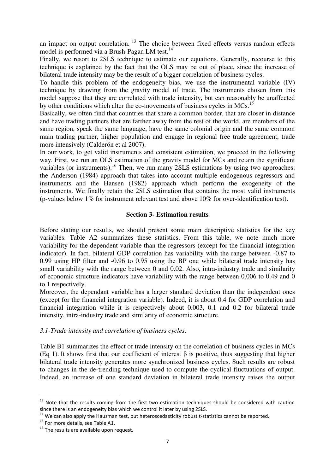an impact on output correlation.  $13$  The choice between fixed effects versus random effects model is performed via a Brush-Pagan LM test.<sup>14</sup>

Finally, we resort to 2SLS technique to estimate our equations. Generally, recourse to this technique is explained by the fact that the OLS may be out of place, since the increase of bilateral trade intensity may be the result of a bigger correlation of business cycles.

To handle this problem of the endogeneity bias, we use the instrumental variable (IV) technique by drawing from the gravity model of trade. The instruments chosen from this model suppose that they are correlated with trade intensity, but can reasonably be unaffected by other conditions which alter the co-movements of business cycles in MCs.<sup>15</sup>

Basically, we often find that countries that share a common border, that are closer in distance and have trading partners that are farther away from the rest of the world, are members of the same region, speak the same language, have the same colonial origin and the same common main trading partner, higher population and engage in regional free trade agreement, trade more intensively (Calderón et al 2007).

In our work, to get valid instruments and consistent estimation, we proceed in the following way. First, we run an OLS estimation of the gravity model for MCs and retain the significant variables (or instruments).<sup>16</sup> Then, we run many 2SLS estimations by using two approaches: the Anderson (1984) approach that takes into account multiple endogenous regressors and instruments and the Hansen (1982) approach which perform the exogeneity of the instruments. We finally retain the 2SLS estimation that contains the most valid instruments (p-values below 1% for instrument relevant test and above 10% for over-identification test).

#### **Section 3- Estimation results**

Before stating our results, we should present some main descriptive statistics for the key variables. Table A2 summarizes these statistics. From this table, we note much more variability for the dependent variable than the regressors (except for the financial integration indicator). In fact, bilateral GDP correlation has variability with the range between -0.87 to 0.99 using HP filter and -0.96 to 0.95 using the BP one while bilateral trade intensity has small variability with the range between 0 and 0.02. Also, intra-industry trade and similarity of economic structure indicators have variability with the range between 0.006 to 0.49 and 0 to 1 respectively.

Moreover, the dependant variable has a larger standard deviation than the independent ones (except for the financial integration variable). Indeed, it is about 0.4 for GDP correlation and financial integration while it is respectively about 0.003, 0.1 and 0.2 for bilateral trade intensity, intra-industry trade and similarity of economic structure.

#### *3.1-Trade intensity and correlation of business cycles:*

Table B1 summarizes the effect of trade intensity on the correlation of business cycles in MCs (Eq 1). It shows first that our coefficient of interest  $\beta$  is positive, thus suggesting that higher bilateral trade intensity generates more synchronized business cycles. Such results are robust to changes in the de-trending technique used to compute the cyclical fluctuations of output. Indeed, an increase of one standard deviation in bilateral trade intensity raises the output

<sup>&</sup>lt;sup>13</sup> Note that the results coming from the first two estimation techniques should be considered with caution since there is an endogeneity bias which we control it later by using 2SLS.

 $14$  We can also apply the Hausman test, but heteroscedasticity robust t-statistics cannot be reported.

<sup>15</sup> For more details, see Table A1.

<sup>&</sup>lt;sup>16</sup> The results are available upon request.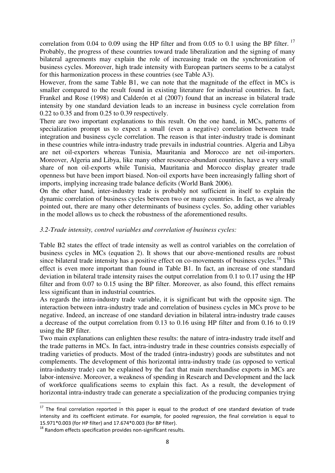correlation from 0.04 to 0.09 using the HP filter and from 0.05 to 0.1 using the BP filter.  $^{17}$ Probably, the progress of these countries toward trade liberalization and the signing of many bilateral agreements may explain the role of increasing trade on the synchronization of business cycles. Moreover, high trade intensity with European partners seems to be a catalyst for this harmonization process in these countries (see Table A3).

However, from the same Table B1, we can note that the magnitude of the effect in MCs is smaller compared to the result found in existing literature for industrial countries. In fact, Frankel and Rose (1998) and Calderón et al (2007) found that an increase in bilateral trade intensity by one standard deviation leads to an increase in business cycle correlation from 0.22 to 0.35 and from 0.25 to 0.39 respectively.

There are two important explanations to this result. On the one hand, in MCs, patterns of specialization prompt us to expect a small (even a negative) correlation between trade integration and business cycle correlation. The reason is that inter-industry trade is dominant in these countries while intra-industry trade prevails in industrial countries. Algeria and Libya are net oil-exporters whereas Tunisia, Mauritania and Morocco are net oil-importers. Moreover, Algeria and Libya, like many other resource-abundant countries, have a very small share of non oil-exports while Tunisia, Mauritania and Morocco display greater trade openness but have been import biased. Non-oil exports have been increasingly falling short of imports, implying increasing trade balance deficits (World Bank 2006).

On the other hand, inter-industry trade is probably not sufficient in itself to explain the dynamic correlation of business cycles between two or many countries. In fact, as we already pointed out, there are many other determinants of business cycles. So, adding other variables in the model allows us to check the robustness of the aforementioned results.

# *3.2-Trade intensity, control variables and correlation of business cycles:*

Table B2 states the effect of trade intensity as well as control variables on the correlation of business cycles in MCs (equation 2). It shows that our above-mentioned results are robust since bilateral trade intensity has a positive effect on co-movements of business cycles.<sup>18</sup> This effect is even more important than found in Table B1. In fact, an increase of one standard deviation in bilateral trade intensity raises the output correlation from 0.1 to 0.17 using the HP filter and from 0.07 to 0.15 using the BP filter. Moreover, as also found, this effect remains less significant than in industrial countries.

As regards the intra-industry trade variable, it is significant but with the opposite sign. The interaction between intra-industry trade and correlation of business cycles in MCs prove to be negative. Indeed, an increase of one standard deviation in bilateral intra-industry trade causes a decrease of the output correlation from 0.13 to 0.16 using HP filter and from 0.16 to 0.19 using the BP filter.

Two main explanations can enlighten these results: the nature of intra-industry trade itself and the trade patterns in MCs. In fact, intra-industry trade in these countries consists especially of trading varieties of products. Most of the traded (intra-industry) goods are substitutes and not complements. The development of this horizontal intra-industry trade (as opposed to vertical intra-industry trade) can be explained by the fact that main merchandise exports in MCs are labor-intensive. Moreover, a weakness of spending in Research and Development and the lack of workforce qualifications seems to explain this fact. As a result, the development of horizontal intra-industry trade can generate a specialization of the producing companies trying

<u>.</u>

 $17$  The final correlation reported in this paper is equal to the product of one standard deviation of trade intensity and its coefficient estimate. For example, for pooled regression, the final correlation is equal to 15.971\*0.003 (for HP filter) and 17.674\*0.003 (for BP filter).

 $18$  Random effects specification provides non-significant results.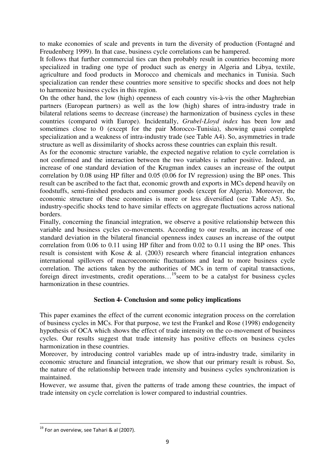to make economies of scale and prevents in turn the diversity of production (Fontagné and Freudenberg 1999). In that case, business cycle correlations can be hampered.

It follows that further commercial ties can then probably result in countries becoming more specialized in trading one type of product such as energy in Algeria and Libya, textile, agriculture and food products in Morocco and chemicals and mechanics in Tunisia. Such specialization can render these countries more sensitive to specific shocks and does not help to harmonize business cycles in this region.

On the other hand, the low (high) openness of each country vis-à-vis the other Maghrebian partners (European partners) as well as the low (high) shares of intra-industry trade in bilateral relations seems to decrease (increase) the harmonization of business cycles in these countries (compared with Europe). Incidentally, *Grubel-Lloyd index* has been low and sometimes close to 0 (except for the pair Morocco-Tunisia), showing quasi complete specialization and a weakness of intra-industry trade (see Table A4). So, asymmetries in trade structure as well as dissimilarity of shocks across these countries can explain this result.

As for the economic structure variable, the expected negative relation to cycle correlation is not confirmed and the interaction between the two variables is rather positive. Indeed, an increase of one standard deviation of the Krugman index causes an increase of the output correlation by 0.08 using HP filter and 0.05 (0.06 for IV regression) using the BP ones. This result can be ascribed to the fact that, economic growth and exports in MCs depend heavily on foodstuffs, semi-finished products and consumer goods (except for Algeria). Moreover, the economic structure of these economies is more or less diversified (see Table A5). So, industry-specific shocks tend to have similar effects on aggregate fluctuations across national borders.

Finally, concerning the financial integration, we observe a positive relationship between this variable and business cycles co-movements. According to our results, an increase of one standard deviation in the bilateral financial openness index causes an increase of the output correlation from 0.06 to 0.11 using HP filter and from 0.02 to 0.11 using the BP ones. This result is consistent with Kose & al. (2003) research where financial integration enhances international spillovers of macroeconomic fluctuations and lead to more business cycle correlation. The actions taken by the authorities of MCs in term of capital transactions, foreign direct investments, credit operations…<sup>19</sup>seem to be a catalyst for business cycles harmonization in these countries.

# **Section 4- Conclusion and some policy implications**

This paper examines the effect of the current economic integration process on the correlation of business cycles in MCs. For that purpose, we test the Frankel and Rose (1998) endogeneity hypothesis of OCA which shows the effect of trade intensity on the co-movement of business cycles. Our results suggest that trade intensity has positive effects on business cycles harmonization in these countries.

Moreover, by introducing control variables made up of intra-industry trade, similarity in economic structure and financial integration, we show that our primary result is robust. So, the nature of the relationship between trade intensity and business cycles synchronization is maintained.

However, we assume that, given the patterns of trade among these countries, the impact of trade intensity on cycle correlation is lower compared to industrial countries.

<u>.</u>

 $19$  For an overview, see Tahari & al (2007).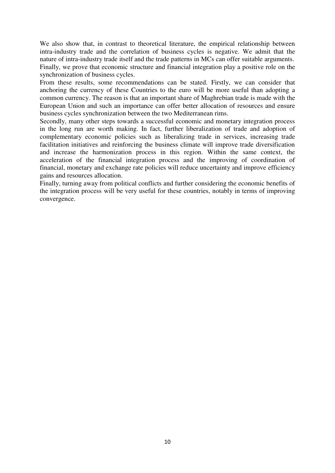We also show that, in contrast to theoretical literature, the empirical relationship between intra-industry trade and the correlation of business cycles is negative. We admit that the nature of intra-industry trade itself and the trade patterns in MCs can offer suitable arguments. Finally, we prove that economic structure and financial integration play a positive role on the synchronization of business cycles.

From these results, some recommendations can be stated. Firstly, we can consider that anchoring the currency of these Countries to the euro will be more useful than adopting a common currency. The reason is that an important share of Maghrebian trade is made with the European Union and such an importance can offer better allocation of resources and ensure business cycles synchronization between the two Mediterranean rims.

Secondly, many other steps towards a successful economic and monetary integration process in the long run are worth making. In fact, further liberalization of trade and adoption of complementary economic policies such as liberalizing trade in services, increasing trade facilitation initiatives and reinforcing the business climate will improve trade diversification and increase the harmonization process in this region. Within the same context, the acceleration of the financial integration process and the improving of coordination of financial, monetary and exchange rate policies will reduce uncertainty and improve efficiency gains and resources allocation.

Finally, turning away from political conflicts and further considering the economic benefits of the integration process will be very useful for these countries, notably in terms of improving convergence.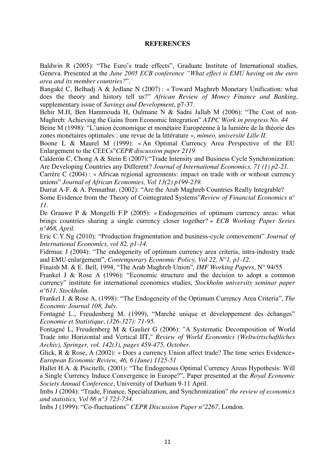# **REFERENCES**

Baldwin R (2005): "The Euro's trade effects", Graduate Institute of International studies, Geneva. Presented at the *June 2005 ECB conference "What effect is EMU having on the euro area and its member countries?*".

Bangaké C, Belhadj A & Jedlane N (2007) : « Toward Maghreb Monetary Unification: what does the theory and history tell us?" *African Review of Money Finance and Banking*, supplementary issue of *Savings and Development*, p7-37.

Bchir M.H, Ben Hammouda H, Oulmane N & Sadni Jallab M (2006): "The Cost of non-Maghreb: Achieving the Gains from Economic Integration" *ATPC Work in progress No. 44* 

Beine M (1998): "L'union économique et monétaire Européenne à la lumière de la théorie des zones monétaires optimales : une revue de la littérature », *mimeo, université Lille II*.

Boone L & Maurel M (1999): « An Optimal Currency Area Perspective of the EU Enlargement to the CEECs"*CEPR discussion paper 2119*

Calderón C, Chong A & Stein E (2007):"Trade Intensity and Business Cycle Synchronization: Are Developing Countries any Different? *Journal of International Economics, 71 (1) p2-21.* 

Carrère C (2004) : « African regional agreements: impact on trade with or without currency unions" *Journal of African Economies, Vol 13(2) p199-239.*

Darrat A-F. & A. Pennathur, (2002): "Are the Arab Maghreb Countries Really Integrable? Some Evidence from the Theory of Cointegrated Systems"*Review of Financial Economics* n° *11.* 

De Grauwe P & Mongelli F.P (2005): « Endogeneities of optimum currency areas: what brings countries sharing a single currency closer together? » *ECB Working Paper Series n°468, April.* 

Eric C.Y.Ng (2010): "Production fragmentation and business-cycle comovement" *Journal of International Economics, vol 82, p1-14.* 

Fidrmuc J (2004): "The endogeneity of optimum currency area criteria, intra-industry trade and EMU enlargement", *Contemporary Economic Policy, Vol 22, N°1, p1-12.*

Finaish M. & E. Bell, 1994, "The Arab Maghreb Union", *IMF Working Papers*, N° 94/55

Frankel J & Rose A (1996): "Economic structure and the decision to adopt a common currency" institute for international economics studies, *Stockholm university seminar paper n°611, Stockholm.* 

Frankel J. & Rose A, (1998): "The Endogeneity of the Optimum Currency Area Criteria", *The Economic Journal 108, July.* 

Fontagné L., Freudenberg M. (1999), "Marché unique et développement des échanges" *Economie et Statistique*, *(326-327): 71-95.* 

Fontagné L, Freudenberg M & Gaulier G (2006): ["A Systematic Decomposition of World](http://ideas.repec.org/a/spr/weltar/v142y2006i3p459-475.html)  [Trade into Horizontal and Vertical IIT,](http://ideas.repec.org/a/spr/weltar/v142y2006i3p459-475.html)" *[Review of World Economics \(Weltwirtschaftliches](http://ideas.repec.org/s/spr/weltar.html)  [Archiv\),](http://ideas.repec.org/s/spr/weltar.html) Springer, vol. 142(3), pages 459-475, October.*

Glick, R & Rose, A (2002): « Does a currency Union affect trade? The time series Evidence» *European Economic Review, 46, 6 (June) 1125-51* 

Hallet H.A. & Piscitelli, (2001): "The Endogenous Optimal Currency Areas Hypothesis: Will a Single Currency Induce Convergence in Europe?", Paper presented at the *Royal Economic Society Annual Conference*, University of Durham 9-11 April.

Imbs J (2004): "Trade, Finance, Specialization, and Synchronization" *the review of economics and statistics, Vol 86 n°3 723-734.* 

Imbs J (1999): "Co-fluctuations" *CEPR Discussion Paper n°2267*, London.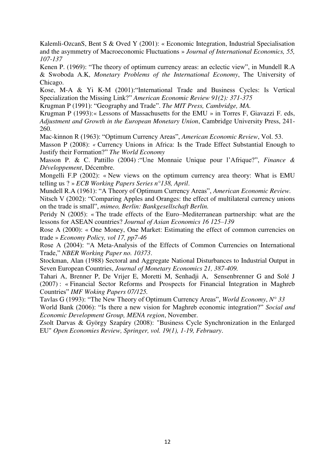Kalemli-OzcanS, Bent S & Oved Y (2001): « Economic Integration, Industrial Specialisation and the asymmetry of Macroeconomic Fluctuations » *Journal of International Economics, 55, 107-137* 

Kenen P. (1969): "The theory of optimum currency areas: an eclectic view", in Mundell R.A & Swoboda A.K, *Monetary Problems of the International Economy*, The University of Chicago.

Kose, M-A & Yi K-M (2001):"International Trade and Business Cycles: Is Vertical Specialization the Missing Link?" *American Economic Review 91(2): 371-375* 

Krugman P (1991): "Geography and Trade". *The MIT Press, Cambridge, MA.* 

Krugman P (1993):« Lessons of Massachusetts for the EMU » in Torres F, Giavazzi F. eds, *Adjustment and Growth in the European Monetary Union*, Cambridge University Press, 241- 260.

Mac-kinnon R (1963): "Optimum Currency Areas", *American Economic Review*, Vol. 53.

Masson P (2008): *«* Currency Unions in Africa: Is the Trade Effect Substantial Enough to Justify their Formation?" *The World Economy*

Masson P. & C. Pattillo (2004) :"Une Monnaie Unique pour l'Afrique?", *Finance & Développement*, Décembre.

Mongelli F.P (2002): « New views on the optimum currency area theory: What is EMU telling us ? » *ECB Working Papers Series n°138, April*.

Mundell R.A (1961): "A Theory of Optimum Currency Areas", *American Economic Review.*

Nitsch V (2002): "Comparing Apples and Oranges: the effect of multilateral currency unions on the trade is small", *mimeo, Berlin: Bankgesellschaft Berlin.*

Peridy N (2005): « The trade effects of the Euro–Mediterranean partnership: what are the lessons for ASEAN countries? *Journal of Asian Economics 16 125–139*

Rose A (2000): « One Money, One Market: Estimating the effect of common currencies on trade » *Economy Policy, vol 17, pp7-46* 

Rose A (2004): "A Meta-Analysis of the Effects of Common Currencies on International Trade," *NBER Working Paper no. 10373*.

Stockman, Alan (1988) Sectoral and Aggregate National Disturbances to Industrial Output in Seven European Countries, *Journal of Monetary Economics 21, 387-409.*

Tahari A, Brenner P, De Vrijer E, Moretti M, Senhadji A, Sensenbrenner G and Solé J (2007) : « Financial Sector Reforms and Prospects for Financial Integration in Maghreb Countries" *IMF Woking Papers 07/125.* 

Tavlas G (1993): "The New Theory of Optimum Currency Areas", *World Economy*, *N° 33*

World Bank (2006): "Is there a new vision for Maghreb economic integration?" *Social and Economic Development Group, MENA region*, November.

Zsolt Darvas & György Szapáry (2008): ["Business Cycle Synchronization in the Enlarged](http://ideas.repec.org/a/kap/openec/v19y2008i1p1-19.html)  [EU"](http://ideas.repec.org/a/kap/openec/v19y2008i1p1-19.html) *[Open Economies Review,](http://ideas.repec.org/s/kap/openec.html) Springer, vol. 19(1), 1-19, February*.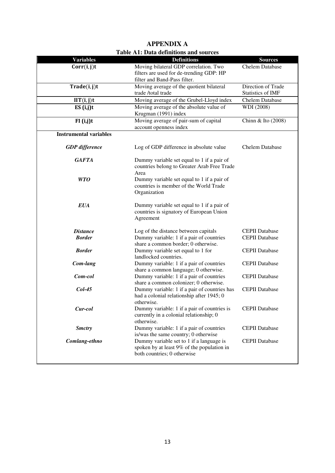|                                                  | Table A1: Data definitions and sources       |                          |
|--------------------------------------------------|----------------------------------------------|--------------------------|
| <b>Variables</b>                                 | <b>Definitions</b>                           | <b>Sources</b>           |
| Corr(i, j)t                                      | Moving bilateral GDP correlation. Two        | <b>Chelem Database</b>   |
|                                                  | filters are used for de-trending GDP: HP     |                          |
|                                                  | filter and Band-Pass filter.                 |                          |
| Trade(i, j)t                                     | Moving average of the quotient bilateral     | Direction of Trade       |
|                                                  | trade /total trade                           | <b>Statistics of IMF</b> |
| $\mathbf{IIT}(\mathbf{i}, \mathbf{j})\mathbf{t}$ | Moving average of the Grubel-Lloyd index     | <b>Chelem Database</b>   |
| ES(i,j)t                                         | Moving average of the absolute value of      | WDI (2008)               |
|                                                  | Krugman (1991) index                         |                          |
|                                                  | Moving average of pair-sum of capital        |                          |
| FI (i,j)t                                        | account openness index                       | Chinn & Ito $(2008)$     |
| <b>Instrumental variables</b>                    |                                              |                          |
|                                                  |                                              |                          |
|                                                  | Log of GDP difference in absolute value      | <b>Chelem Database</b>   |
| <b>GDP</b> difference                            |                                              |                          |
| <b>GAFTA</b>                                     | Dummy variable set equal to 1 if a pair of   |                          |
|                                                  | countries belong to Greater Arab Free Trade  |                          |
|                                                  | Area                                         |                          |
| <b>WTO</b>                                       | Dummy variable set equal to 1 if a pair of   |                          |
|                                                  | countries is member of the World Trade       |                          |
|                                                  |                                              |                          |
|                                                  | Organization                                 |                          |
| <b>EUA</b>                                       | Dummy variable set equal to 1 if a pair of   |                          |
|                                                  |                                              |                          |
|                                                  | countries is signatory of European Union     |                          |
|                                                  | Agreement                                    |                          |
| <b>Distance</b>                                  | Log of the distance between capitals         | <b>CEPII</b> Database    |
| <b>Border</b>                                    | Dummy variable: 1 if a pair of countries     | <b>CEPII</b> Database    |
|                                                  | share a common border; 0 otherwise.          |                          |
| <b>Border</b>                                    | Dummy variable set equal to 1 for            | <b>CEPII</b> Database    |
|                                                  | landlocked countries.                        |                          |
| Com-lang                                         | Dummy variable: 1 if a pair of countries     | <b>CEPII</b> Database    |
|                                                  | share a common language; 0 otherwise.        |                          |
| Com-col                                          | Dummy variable: 1 if a pair of countries     | <b>CEPII</b> Database    |
|                                                  | share a common colonizer; 0 otherwise.       |                          |
| $Col-45$                                         | Dummy variable: 1 if a pair of countries has | <b>CEPII</b> Database    |
|                                                  | had a colonial relationship after 1945; 0    |                          |
|                                                  | otherwise.                                   |                          |
| Cur-col                                          | Dummy variable: 1 if a pair of countries is  | <b>CEPII</b> Database    |
|                                                  | currently in a colonial relationship; 0      |                          |
|                                                  | otherwise.                                   |                          |
| <b>Smctry</b>                                    | Dummy variable: 1 if a pair of countries     | <b>CEPII</b> Database    |
|                                                  | is/was the same country; 0 otherwise         |                          |
| Comlang-ethno                                    | Dummy variable set to 1 if a language is     | <b>CEPII</b> Database    |
|                                                  | spoken by at least 9% of the population in   |                          |
|                                                  | both countries; 0 otherwise                  |                          |
|                                                  |                                              |                          |
|                                                  |                                              |                          |

#### **APPENDIX A Table A1: Data definitions and sources**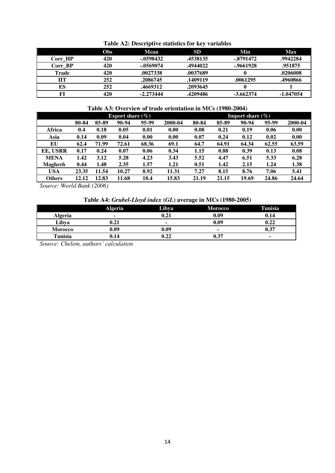| $2000101240$ $20000100010$ $200000000000$ $200000000$ |            |             |          |             |             |  |  |
|-------------------------------------------------------|------------|-------------|----------|-------------|-------------|--|--|
|                                                       | <b>Obs</b> | <b>Mean</b> | SD.      | Min         | Max         |  |  |
| Corr HP                                               | 420        | $-.0598432$ | .4538135 | -.8791472   | .9942284    |  |  |
| Corr BP                                               | 420        | -.0569074   | .4944022 | -.9661928   | .951875     |  |  |
| Trade                                                 | 420        | .0027338    | .0037689 |             | .0206008    |  |  |
| ПТ                                                    | 252        | .2086745    | .1409119 | .0061295    | .4960866    |  |  |
| ES                                                    | 252        | .4669312    | .2093645 |             |             |  |  |
| FI                                                    | 420        | $-2.273444$ | .4209486 | $-3.662374$ | $-1.047054$ |  |  |

**Table A2: Descriptive statistics for key variables** 

# **Table A3: Overview of trade orientation in MCs (1980-2004)**

|                 | <b>Export share</b> $(\%)$ |       |       |       |         | <b>Import share</b> $(\%)$ |       |       |       |         |
|-----------------|----------------------------|-------|-------|-------|---------|----------------------------|-------|-------|-------|---------|
|                 | 80-84                      | 85-89 | 90-94 | 95-99 | 2000-04 | 80-84                      | 85-89 | 90-94 | 95-99 | 2000-04 |
| Africa          | 0.4                        | 0.18  | 0.05  | 0.01  | 0.00    | 0.08                       | 0.21  | 0.19  | 0.06  | 0.00    |
| Asia            | 0.14                       | 0.09  | 0.04  | 0.00  | 0.00    | 0.07                       | 0.24  | 0.12  | 0.02  | 0.00    |
| EU              | 62.4                       | 71.99 | 72.61 | 68.36 | 69.1    | 64.7                       | 64.91 | 64.34 | 62.55 | 63.59   |
| <b>EE, USRR</b> | 0.17                       | 0.24  | 0.07  | 0.06  | 0.34    | 1.15                       | 0.88  | 0.39  | 0.13  | 0.08    |
| <b>MENA</b>     | 1.42                       | 3.12  | 5.28  | 4.23  | 3.43    | 5.52                       | 4.47  | 6.51  | 5.33  | 6.28    |
| <b>Maghreb</b>  | 0.44                       | 1.48  | 2.35  | 1.57  | 1.21    | 0.51                       | 1.42  | 2.15  | 1.24  | 1.38    |
| <b>USA</b>      | 23.35                      | 11.54 | 10.27 | 8.92  | 11.31   | 7.27                       | 8.15  | 8.76  | 7.06  | 5.41    |
| <b>Others</b>   | 12.12                      | 12.83 | 11.68 | 18.4  | 15.83   | 21.19                      | 21.15 | 19.69 | 24.86 | 24.64   |

*Source: World Bank (2006)* 

#### **Table A4:** *Grubel-Lloyd index* **(***GL***) average in MCs (1980-2005)**

|                | <b>Algeria</b>      | Libya | <b>Morocco</b> | Tunisia |
|----------------|---------------------|-------|----------------|---------|
| Algeria        |                     | 0.21  | 0.09           | 0.14    |
| Libya          | $\boldsymbol{0.21}$ | ۰     | 0.09           | 0.22    |
| <b>Morocco</b> | 0.09                | 0.09  | ۰              | 0.37    |
| Tunisia        | 0.14                | 0.22  | 0.37           |         |

*Source: Chelem, authors' calculation*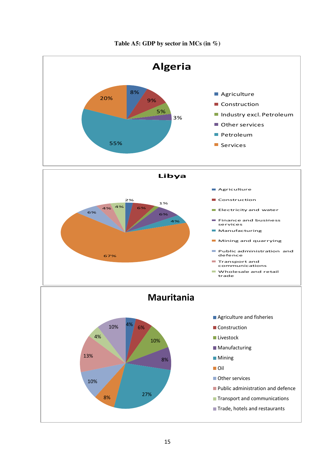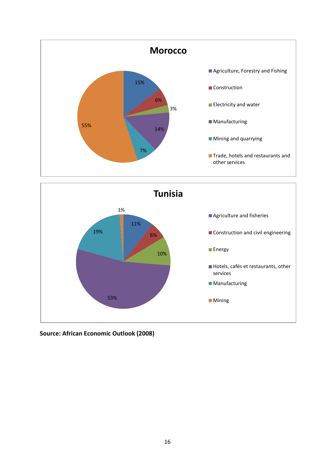



**Source: African Economic Outlook (2008)**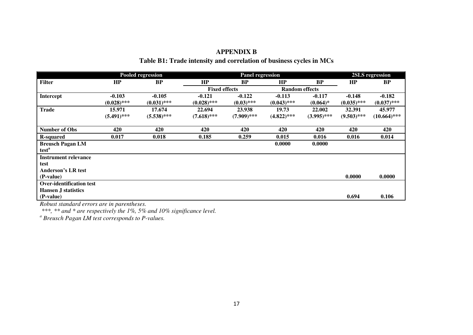|                                 |               | <b>Pooled regression</b> | <b>Panel regression</b> |               |                       |               |               | 2SLS regression |  |  |
|---------------------------------|---------------|--------------------------|-------------------------|---------------|-----------------------|---------------|---------------|-----------------|--|--|
| <b>Filter</b>                   | HP            | <b>BP</b>                | HP                      | <b>BP</b>     | HP                    | <b>BP</b>     | HP            | <b>BP</b>       |  |  |
|                                 |               |                          | <b>Fixed effects</b>    |               | <b>Random effects</b> |               |               |                 |  |  |
| <b>Intercept</b>                | $-0.103$      | $-0.105$                 | $-0.121$                | $-0.122$      | $-0.113$              | $-0.117$      | $-0.148$      | $-0.182$        |  |  |
|                                 | $(0.028)$ *** | $(0.031)$ ***            | $(0.028)$ ***           | $(0.03)$ ***  | $(0.043)$ ***         | $(0.064)*$    | $(0.035)$ *** | $(0.037)$ ***   |  |  |
| <b>Trade</b>                    | 15.971        | 17.674                   | 22.694                  | 23.938        | 19.73                 | 22.002        | 32.391        | 45.977          |  |  |
|                                 | $(5.491)$ *** | $(5.538)$ ***            | $(7.618)$ ***           | $(7.909)$ *** | $(4.822)$ ***         | $(3.995)$ *** | $(9.503)$ *** | $(10.664)$ ***  |  |  |
|                                 |               |                          |                         |               |                       |               |               |                 |  |  |
| <b>Number of Obs</b>            | 420           | 420                      | 420                     | 420           | 420                   | 420           | 420           | 420             |  |  |
| <b>R-squared</b>                | 0.017         | 0.018                    | 0.185                   | 0.259         | 0.015                 | 0.016         | 0.016         | 0.014           |  |  |
| <b>Breusch Pagan LM</b>         |               |                          |                         |               | 0.0000                | 0.0000        |               |                 |  |  |
| test <sup>a</sup>               |               |                          |                         |               |                       |               |               |                 |  |  |
| <b>Instrument relevance</b>     |               |                          |                         |               |                       |               |               |                 |  |  |
| test                            |               |                          |                         |               |                       |               |               |                 |  |  |
| <b>Anderson's LR test</b>       |               |                          |                         |               |                       |               |               |                 |  |  |
| (P-value)                       |               |                          |                         |               |                       |               | 0.0000        | 0.0000          |  |  |
| <b>Over-identification test</b> |               |                          |                         |               |                       |               |               |                 |  |  |
| <b>Hansen J statistics</b>      |               |                          |                         |               |                       |               |               |                 |  |  |
| (P-value)                       |               |                          |                         |               |                       |               | 0.694         | 0.106           |  |  |

# **APPENDIX B**

# **Table B1: Trade intensity and correlation of business cycles in MCs**

*Robust standard errors are in parentheses.* 

 *\*\*\*, \*\* and \* are respectively the 1%, 5% and 10% significance level.* 

*a Breusch Pagan LM test corresponds to P-values.*